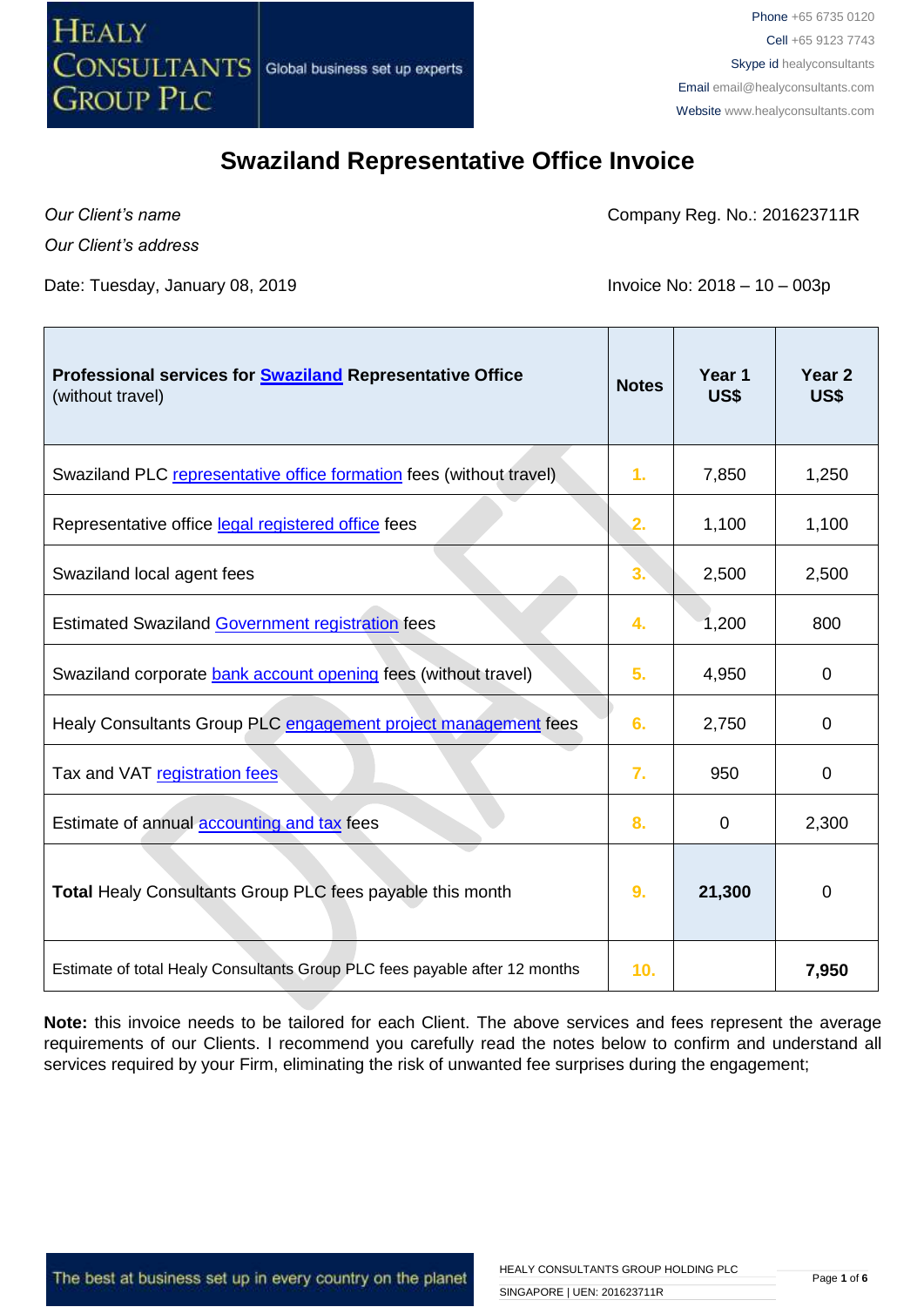

 $\mathbb{R}$ 

### **Swaziland Representative Office Invoice**

*Our Client's name*

 $\mathbb{R}$ 

Company Reg. No.: 201623711R

*Our Client's address*

Date: Tuesday, January 08, 2019 **Invoice No: 2018 – 10 – 003p** 

| Professional services for <b>Swaziland</b> Representative Office<br>(without travel) | <b>Notes</b>    | Year 1<br>US\$ | Year <sub>2</sub><br>US\$ |
|--------------------------------------------------------------------------------------|-----------------|----------------|---------------------------|
| Swaziland PLC representative office formation fees (without travel)                  | 1.              | 7,850          | 1,250                     |
| Representative office legal registered office fees                                   | 2.              | 1,100          | 1,100                     |
| Swaziland local agent fees                                                           | 3.              | 2,500          | 2,500                     |
| <b>Estimated Swaziland Government registration fees</b>                              | 4.              | 1,200          | 800                       |
| Swaziland corporate bank account opening fees (without travel)                       | 5.              | 4,950          | 0                         |
| Healy Consultants Group PLC engagement project management fees                       | 6.              | 2,750          | 0                         |
| Tax and VAT registration fees                                                        | 7.              | 950            | 0                         |
| Estimate of annual accounting and tax fees                                           | 8.              | 0              | 2,300                     |
| <b>Total Healy Consultants Group PLC fees payable this month</b>                     | 9.              | 21,300         | 0                         |
| Estimate of total Healy Consultants Group PLC fees payable after 12 months           | 10 <sub>1</sub> |                | 7,950                     |

**Note:** this invoice needs to be tailored for each Client. The above services and fees represent the average requirements of our Clients. I recommend you carefully read the notes below to confirm and understand all services required by your Firm, eliminating the risk of unwanted fee surprises during the engagement;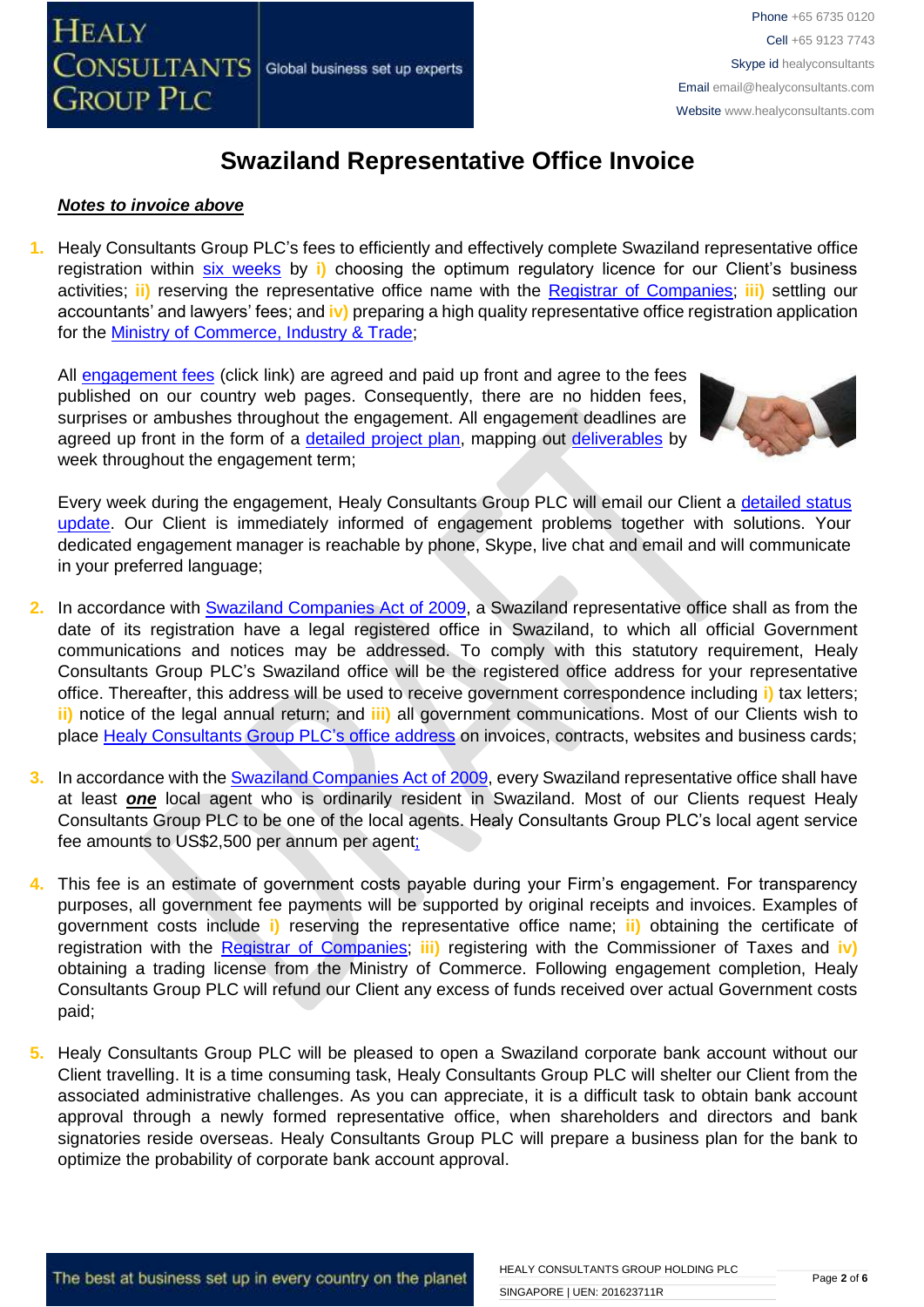

#### *Notes to invoice above*

**1.** Healy Consultants Group PLC's fees to efficiently and effectively complete Swaziland representative office registration within [six weeks](http://www.healyconsultants.com/swaziland-company-registration/fees-timelines/) by **i)** choosing the optimum regulatory licence for our Client's business activities; **ii)** reserving the representative office name with the [Registrar of Companies;](http://www.gov.sz/index.php?option=com_content&id=522&Itemid=254) **iii)** settling our accountants' and lawyers' fees; and **iv)** preparing a high quality representative office registration application for the [Ministry of Commerce, Industry & Trade;](http://www.gov.sz/index.php?option=com_content&view=article&id=228&Itemid=306)

All [engagement fees](http://www.healyconsultants.com/company-registration-fees/) (click link) are agreed and paid up front and agree to the fees published on our country web pages. Consequently, there are no hidden fees, surprises or ambushes throughout the engagement. All engagement deadlines are agreed up front in the form of a [detailed project plan,](http://www.healyconsultants.com/index-important-links/example-project-plan/) mapping out [deliverables](http://www.healyconsultants.com/deliverables-to-our-clients/) by week throughout the engagement term;



Every week during the engagement, Healy Consultants Group PLC will email our Client a [detailed status](http://www.healyconsultants.com/index-important-links/weekly-engagement-status-email/)  [update.](http://www.healyconsultants.com/index-important-links/weekly-engagement-status-email/) Our Client is immediately informed of engagement problems together with solutions. Your dedicated engagement manager is reachable by phone, Skype, live chat and email and will communicate in your preferred language;

- **2.** In accordance with [Swaziland Companies Act](http://www.gov.sz/index.php?option=com_content&id=377&Itemid=141) of 2009, a Swaziland representative office shall as from the date of its registration have a legal registered office in Swaziland, to which all official Government communications and notices may be addressed. To comply with this statutory requirement, Healy Consultants Group PLC's Swaziland office will be the registered office address for your representative office. Thereafter, this address will be used to receive government correspondence including **i)** tax letters; **ii)** notice of the legal annual return; and **iii)** all government communications. Most of our Clients wish to place [Healy Consultants Group PLC's](http://www.healyconsultants.com/corporate-outsourcing-services/company-secretary-and-legal-registered-office/) office address on invoices, contracts, websites and business cards;
- **3.** In accordance with th[e Swaziland Companies Act](http://www.gov.sz/index.php?option=com_content&id=377&Itemid=141) of 2009, every Swaziland representative office shall have at least *one* local agent who is ordinarily resident in Swaziland. Most of our Clients request Healy Consultants Group PLC to be one of the local agents. Healy Consultants Group PLC's local agent service fee amounts to US\$2,500 per annum per agent;
- **4.** This fee is an estimate of government costs payable during your Firm's engagement. For transparency purposes, all government fee payments will be supported by original receipts and invoices. Examples of government costs include **i)** reserving the representative office name; **ii)** obtaining the certificate of registration with the [Registrar of Companies;](http://www.gov.sz/index.php?option=com_content&id=522&Itemid=254) **iii)** registering with the Commissioner of Taxes and **iv)** obtaining a trading license from the Ministry of Commerce. Following engagement completion, Healy Consultants Group PLC will refund our Client any excess of funds received over actual Government costs paid;
- **5.** Healy Consultants Group PLC will be pleased to open a Swaziland corporate bank account without our Client travelling. It is a time consuming task, Healy Consultants Group PLC will shelter our Client from the associated administrative challenges. As you can appreciate, it is a difficult task to obtain bank account approval through a newly formed representative office, when shareholders and directors and bank signatories reside overseas. Healy Consultants Group PLC will prepare a business plan for the bank to optimize the probability of corporate bank account approval.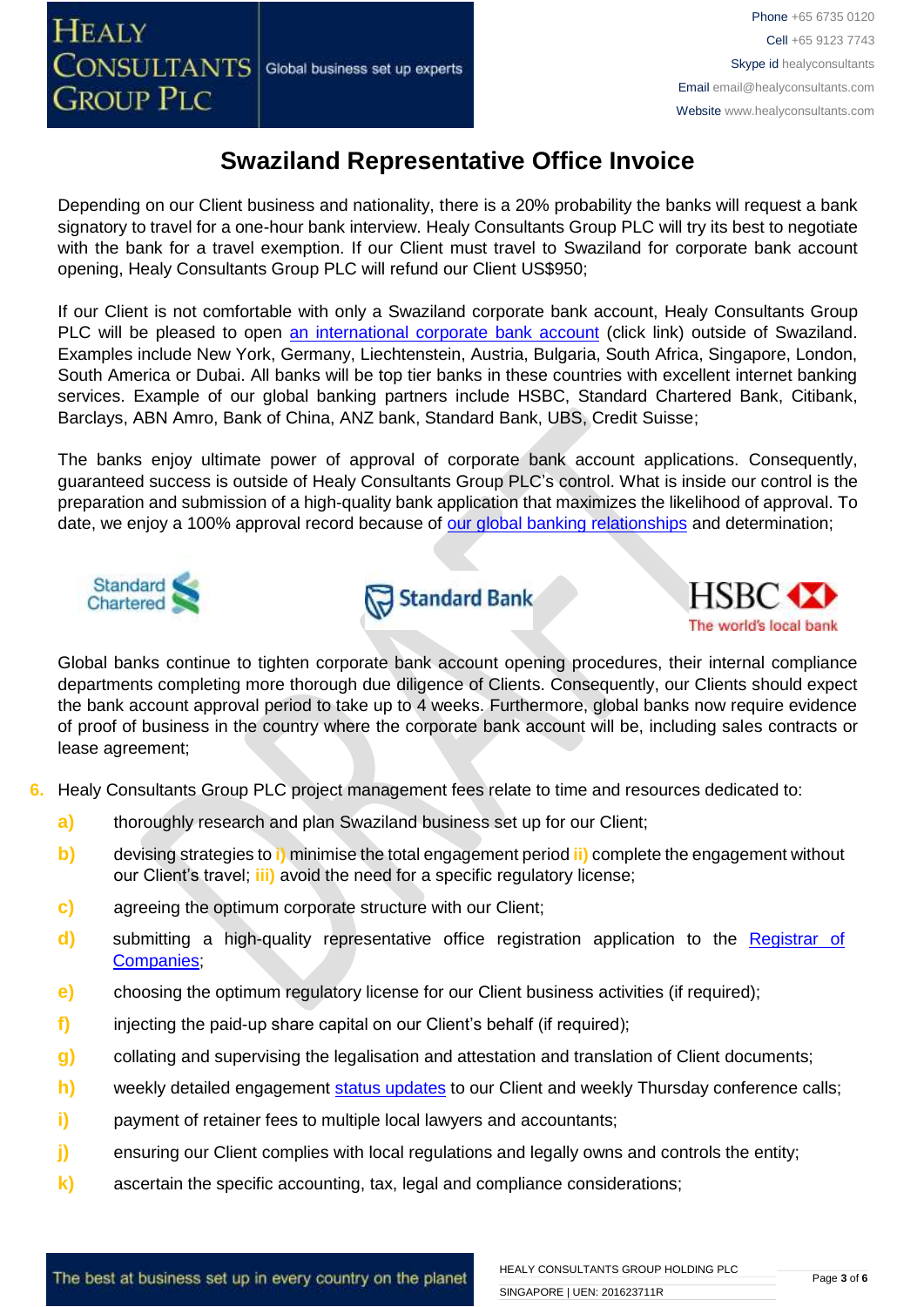Depending on our Client business and nationality, there is a 20% probability the banks will request a bank signatory to travel for a one-hour bank interview. Healy Consultants Group PLC will try its best to negotiate with the bank for a travel exemption. If our Client must travel to Swaziland for corporate bank account opening, Healy Consultants Group PLC will refund our Client US\$950;

If our Client is not comfortable with only a Swaziland corporate bank account, Healy Consultants Group PLC will be pleased to open [an international corporate bank account](http://www.healyconsultants.com/international-banking/) (click link) outside of Swaziland. Examples include New York, Germany, Liechtenstein, Austria, Bulgaria, South Africa, Singapore, London, South America or Dubai. All banks will be top tier banks in these countries with excellent internet banking services. Example of our global banking partners include HSBC, Standard Chartered Bank, Citibank, Barclays, ABN Amro, Bank of China, ANZ bank, Standard Bank, UBS, Credit Suisse;

The banks enjoy ultimate power of approval of corporate bank account applications. Consequently, guaranteed success is outside of Healy Consultants Group PLC's control. What is inside our control is the preparation and submission of a high-quality bank application that maximizes the likelihood of approval. To date, we enjoy a 100% approval record because of [our global banking relationships](http://www.healyconsultants.com/international-banking/corporate-accounts/) and determination;







Global banks continue to tighten corporate bank account opening procedures, their internal compliance departments completing more thorough due diligence of Clients. Consequently, our Clients should expect the bank account approval period to take up to 4 weeks. Furthermore, global banks now require evidence of proof of business in the country where the corporate bank account will be, including sales contracts or lease agreement;

- **6.** Healy Consultants Group PLC project management fees relate to time and resources dedicated to:
	- **a)** thoroughly research and plan Swaziland business set up for our Client;
	- **b)** devising strategies to **i)** minimise the total engagement period **ii)** complete the engagement without our Client's travel; **iii)** avoid the need for a specific regulatory license;
	- **c)** agreeing the optimum corporate structure with our Client;
	- **d)** submitting a high-quality representative office registration application to the [Registrar of](http://www.gov.sz/index.php?option=com_content&id=522&Itemid=254)  [Companies](http://www.gov.sz/index.php?option=com_content&id=522&Itemid=254)[;](http://www.dubaided.gov.ae/en/Pages/default.aspx)
	- **e)** choosing the optimum regulatory license for our Client business activities (if required);
	- **f)** injecting the paid-up share capital on our Client's behalf (if required);
	- **g)** collating and supervising the legalisation and attestation and translation of Client documents;
	- **h)** weekly detailed engagement [status updates](http://www.healyconsultants.com/index-important-links/weekly-engagement-status-email/) to our Client and weekly Thursday conference calls;
	- **i)** payment of retainer fees to multiple local lawyers and accountants;
	- **j)** ensuring our Client complies with local regulations and legally owns and controls the entity;
	- **k)** ascertain the specific accounting, tax, legal and compliance considerations;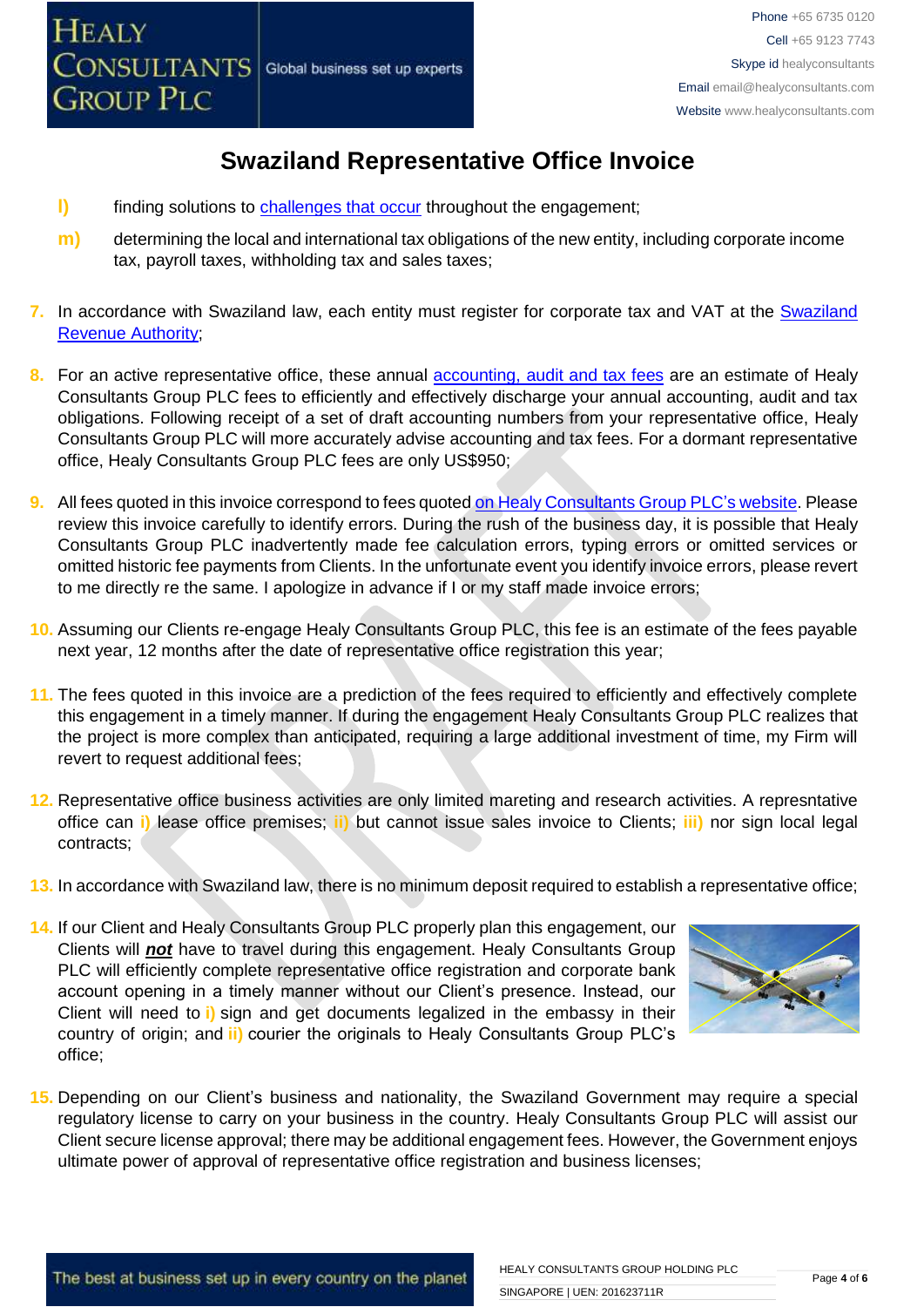

- **l)** finding solutions to [challenges that occur](http://www.healyconsultants.com/engagement-project-management/) throughout the engagement;
- **m)** determining the local and international tax obligations of the new entity, including corporate income tax, payroll taxes, withholding tax and sales taxes;
- **7.** In accordance with Swaziland law, each entity must register for corporate tax and VAT at the [Swaziland](http://www.sra.org.sz/index.php?option=com_content&view=article&id=88&Itemid=216)  [Revenue Authority;](http://www.sra.org.sz/index.php?option=com_content&view=article&id=88&Itemid=216)
- 8. For an active representative office, these annual **accounting**, audit and tax fees are an estimate of Healy Consultants Group PLC fees to efficiently and effectively discharge your annual accounting, audit and tax obligations. Following receipt of a set of draft accounting numbers from your representative office, Healy Consultants Group PLC will more accurately advise accounting and tax fees. For a dormant representative office, Healy Consultants Group PLC fees are only US\$950;
- **9.** All fees quoted in this invoice correspond to fees quoted [on Healy Consultants Group PLC's](http://www.healyconsultants.com/company-registration-fees/) website. Please review this invoice carefully to identify errors. During the rush of the business day, it is possible that Healy Consultants Group PLC inadvertently made fee calculation errors, typing errors or omitted services or omitted historic fee payments from Clients. In the unfortunate event you identify invoice errors, please revert to me directly re the same. I apologize in advance if I or my staff made invoice errors;
- **10.** Assuming our Clients re-engage Healy Consultants Group PLC, this fee is an estimate of the fees payable next year, 12 months after the date of representative office registration this year;
- **11.** The fees quoted in this invoice are a prediction of the fees required to efficiently and effectively complete this engagement in a timely manner. If during the engagement Healy Consultants Group PLC realizes that the project is more complex than anticipated, requiring a large additional investment of time, my Firm will revert to request additional fees;
- **12.** Representative office business activities are only limited mareting and research activities. A represntative office can **i)** lease office premises; **ii)** but cannot issue sales invoice to Clients; **iii)** nor sign local legal contracts;
- **13.** In accordance with Swaziland law, there is no minimum deposit required to establish a representative office;
- **14.** If our Client and Healy Consultants Group PLC properly plan this engagement, our Clients will *not* have to travel during this engagement. Healy Consultants Group PLC will efficiently complete representative office registration and corporate bank account opening in a timely manner without our Client's presence. Instead, our Client will need to **i)** sign and get documents legalized in the embassy in their country of origin; and **ii)** courier the originals to Healy Consultants Group PLC's office;



**15.** Depending on our Client's business and nationality, the Swaziland Government may require a special regulatory license to carry on your business in the country. Healy Consultants Group PLC will assist our Client secure license approval; there may be additional engagement fees. However, the Government enjoys ultimate power of approval of representative office registration and business licenses;

The best at business set up in every country on the planet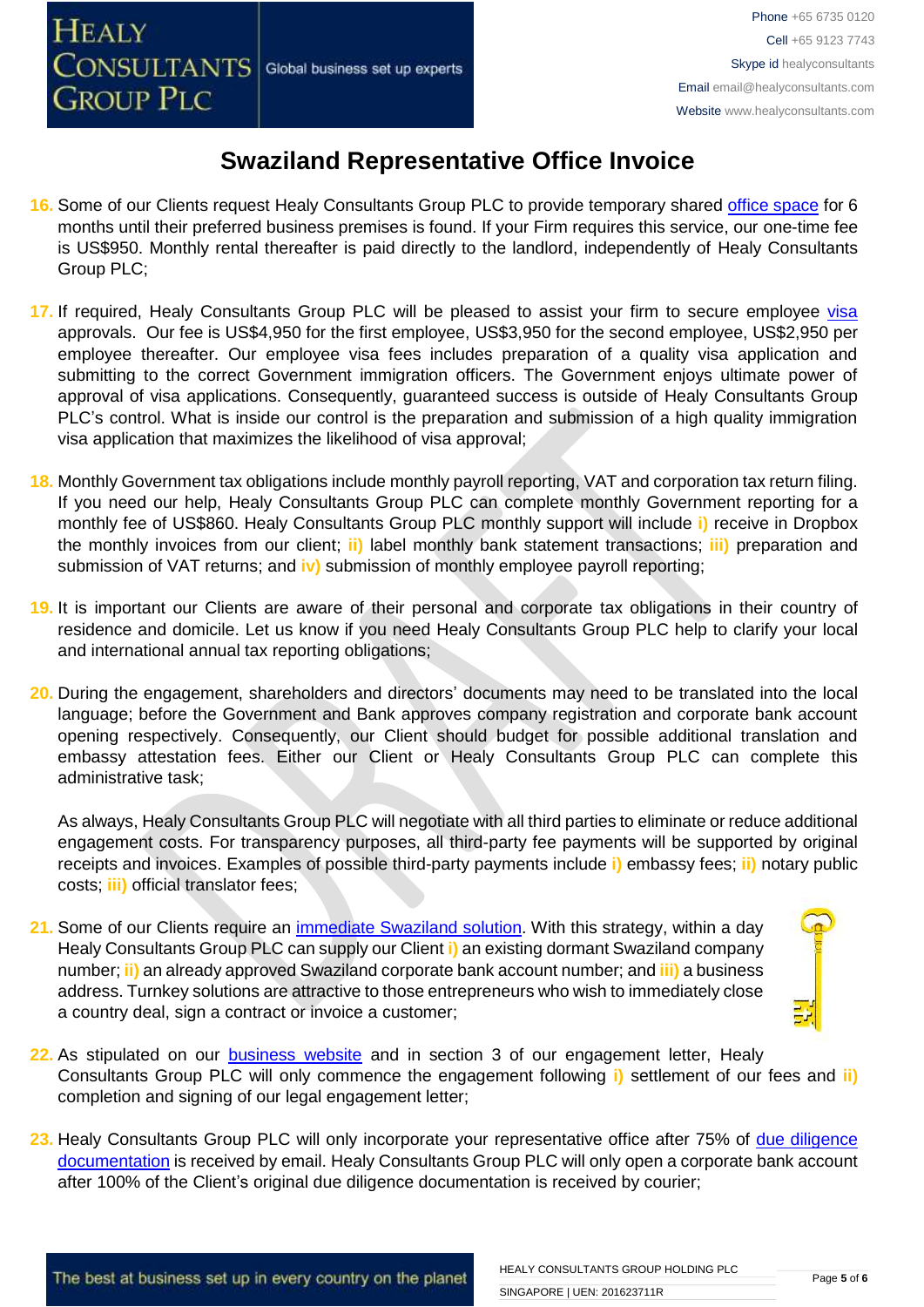- **16.** Some of our Clients request Healy Consultants Group PLC to provide temporary shared [office space](http://www.healyconsultants.com/virtual-office/) for 6 months until their preferred business premises is found. If your Firm requires this service, our one-time fee is US\$950. Monthly rental thereafter is paid directly to the landlord, independently of Healy Consultants Group PLC;
- 17. If required, Healy Consultants Group PLC will be pleased to assist your firm to secure employee [visa](http://www.healyconsultants.com/migration/) approvals. Our fee is US\$4,950 for the first employee, US\$3,950 for the second employee, US\$2,950 per employee thereafter. Our employee visa fees includes preparation of a quality visa application and submitting to the correct Government immigration officers. The Government enjoys ultimate power of approval of visa applications. Consequently, guaranteed success is outside of Healy Consultants Group PLC's control. What is inside our control is the preparation and submission of a high quality immigration visa application that maximizes the likelihood of visa approval;
- **18.** Monthly Government tax obligations include monthly payroll reporting, VAT and corporation tax return filing. If you need our help, Healy Consultants Group PLC can complete monthly Government reporting for a monthly fee of US\$860. Healy Consultants Group PLC monthly support will include **i)** receive in Dropbox the monthly invoices from our client; **ii)** label monthly bank statement transactions; **iii)** preparation and submission of VAT returns; and **iv)** submission of monthly employee payroll reporting;
- **19.** It is important our Clients are aware of their personal and corporate tax obligations in their country of residence and domicile. Let us know if you need Healy Consultants Group PLC help to clarify your local and international annual tax reporting obligations;
- **20.** During the engagement, shareholders and directors' documents may need to be translated into the local language; before the Government and Bank approves company registration and corporate bank account opening respectively. Consequently, our Client should budget for possible additional translation and embassy attestation fees. Either our Client or Healy Consultants Group PLC can complete this administrative task;

As always, Healy Consultants Group PLC will negotiate with all third parties to eliminate or reduce additional engagement costs. For transparency purposes, all third-party fee payments will be supported by original receipts and invoices. Examples of possible third-party payments include **i)** embassy fees; **ii)** notary public costs; **iii)** official translator fees;

**21.** Some of our Clients require an [immediate Swaziland](http://www.healyconsultants.com/turnkey-solutions/) solution. With this strategy, within a day Healy Consultants Group PLC can supply our Client **i)** an existing dormant Swaziland company number; **ii)** an already approved Swaziland corporate bank account number; and **iii)** a business address. Turnkey solutions are attractive to those entrepreneurs who wish to immediately close a country deal, sign a contract or invoice a customer;



- **22.** As stipulated on our [business website](http://www.healyconsultants.com/) and in section 3 of our engagement letter, Healy Consultants Group PLC will only commence the engagement following **i)** settlement of our fees and **ii)** completion and signing of our legal engagement letter;
- **23.** Healy Consultants Group PLC will only incorporate your representative office after 75% of [due diligence](http://www.healyconsultants.com/due-diligence/)  [documentation](http://www.healyconsultants.com/due-diligence/) is received by email. Healy Consultants Group PLC will only open a corporate bank account after 100% of the Client's original due diligence documentation is received by courier;